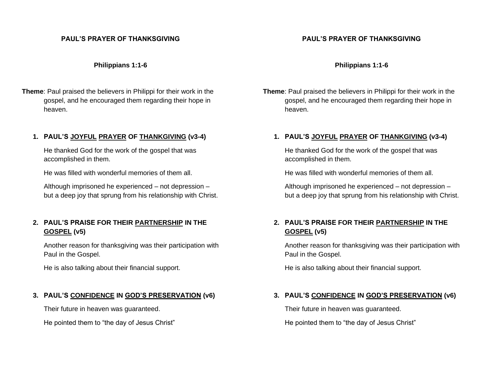## **PAUL'S PRAYER OF THANKSGIVING**

#### **Philippians 1:1-6**

**Theme**: Paul praised the believers in Philippi for their work in the gospel, and he encouraged them regarding their hope in heaven.

# **1. PAUL'S JOYFUL PRAYER OF THANKGIVING (v3-4)**

He thanked God for the work of the gospel that was accomplished in them.

He was filled with wonderful memories of them all.

Although imprisoned he experienced – not depression – but a deep joy that sprung from his relationship with Christ.

# **2. PAUL'S PRAISE FOR THEIR PARTNERSHIP IN THE GOSPEL (v5)**

Another reason for thanksgiving was their participation with Paul in the Gospel.

He is also talking about their financial support.

# **3. PAUL'S CONFIDENCE IN GOD'S PRESERVATION (v6)**

Their future in heaven was guaranteed.

He pointed them to "the day of Jesus Christ"

# **PAUL'S PRAYER OF THANKSGIVING**

#### **Philippians 1:1-6**

**Theme**: Paul praised the believers in Philippi for their work in the gospel, and he encouraged them regarding their hope in heaven.

# **1. PAUL'S JOYFUL PRAYER OF THANKGIVING (v3-4)**

He thanked God for the work of the gospel that was accomplished in them.

He was filled with wonderful memories of them all.

Although imprisoned he experienced – not depression – but a deep joy that sprung from his relationship with Christ.

# **2. PAUL'S PRAISE FOR THEIR PARTNERSHIP IN THE GOSPEL (v5)**

Another reason for thanksgiving was their participation with Paul in the Gospel.

He is also talking about their financial support.

# **3. PAUL'S CONFIDENCE IN GOD'S PRESERVATION (v6)**

Their future in heaven was guaranteed.

He pointed them to "the day of Jesus Christ"